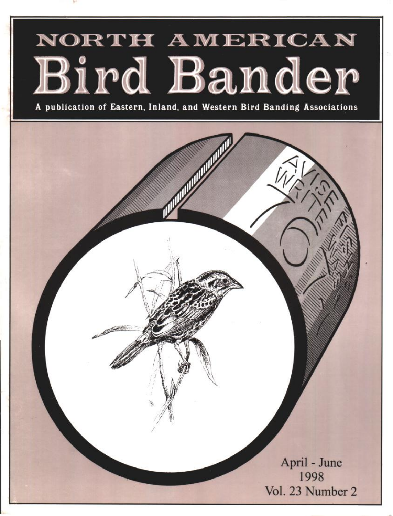# NORTH AMERICAN Bird Bander

**A publication of Eastern, Inland, and Western Bird Banding Associations** 

**April - June 1998 Vol. 23 Number 2**